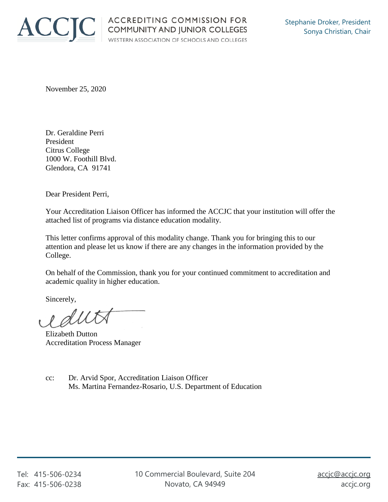

November 25, 2020

Dr. Geraldine Perri President Citrus College 1000 W. Foothill Blvd. Glendora, CA 91741

Dear President Perri,

Your Accreditation Liaison Officer has informed the ACCJC that your institution will offer the attached list of programs via distance education modality.

This letter confirms approval of this modality change. Thank you for bringing this to our attention and please let us know if there are any changes in the information provided by the College.

On behalf of the Commission, thank you for your continued commitment to accreditation and academic quality in higher education.

Sincerely,

eduta

Elizabeth Dutton Accreditation Process Manager

cc: Dr. Arvid Spor, Accreditation Liaison Officer Ms. Martina Fernandez-Rosario, U.S. Department of Education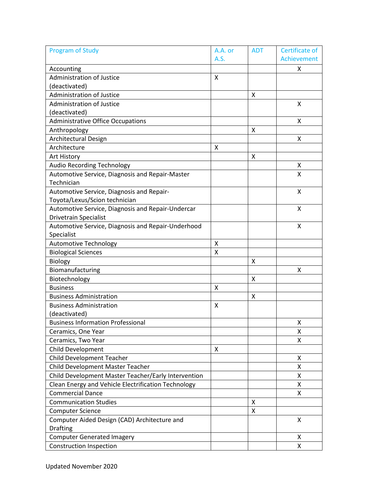| <b>Program of Study</b>                             | A.A. or | <b>ADT</b> | Certificate of |
|-----------------------------------------------------|---------|------------|----------------|
|                                                     | A.S.    |            | Achievement    |
| Accounting                                          |         |            | X              |
| Administration of Justice                           | X       |            |                |
| (deactivated)                                       |         |            |                |
| <b>Administration of Justice</b>                    |         | Χ          |                |
| Administration of Justice                           |         |            | X              |
| (deactivated)                                       |         |            |                |
| <b>Administrative Office Occupations</b>            |         |            | X              |
| Anthropology                                        |         | X          |                |
| <b>Architectural Design</b>                         |         |            | Χ              |
| Architecture                                        | X       |            |                |
| Art History                                         |         | X          |                |
| <b>Audio Recording Technology</b>                   |         |            | Χ              |
| Automotive Service, Diagnosis and Repair-Master     |         |            | Χ              |
| Technician                                          |         |            |                |
| Automotive Service, Diagnosis and Repair-           |         |            | X              |
| Toyota/Lexus/Scion technician                       |         |            |                |
| Automotive Service, Diagnosis and Repair-Undercar   |         |            | X              |
| <b>Drivetrain Specialist</b>                        |         |            |                |
| Automotive Service, Diagnosis and Repair-Underhood  |         |            | X              |
| Specialist                                          |         |            |                |
| <b>Automotive Technology</b>                        | X       |            |                |
| <b>Biological Sciences</b>                          | $\sf X$ |            |                |
| Biology                                             |         | X          |                |
| Biomanufacturing                                    |         |            | Χ              |
| Biotechnology                                       |         | X          |                |
| <b>Business</b>                                     | x       |            |                |
| <b>Business Administration</b>                      |         | X          |                |
| <b>Business Administration</b>                      | x       |            |                |
| (deactivated)                                       |         |            |                |
| <b>Business Information Professional</b>            |         |            | X              |
| Ceramics, One Year                                  |         |            | X              |
| Ceramics, Two Year                                  |         |            | X              |
| Child Development                                   | x       |            |                |
| <b>Child Development Teacher</b>                    |         |            | x              |
| Child Development Master Teacher                    |         |            | x              |
| Child Development Master Teacher/Early Intervention |         |            | X              |
| Clean Energy and Vehicle Electrification Technology |         |            | X              |
| <b>Commercial Dance</b>                             |         |            | X              |
| <b>Communication Studies</b>                        |         | X          |                |
| <b>Computer Science</b>                             |         | X          |                |
| Computer Aided Design (CAD) Architecture and        |         |            | Χ              |
| <b>Drafting</b>                                     |         |            |                |
| <b>Computer Generated Imagery</b>                   |         |            | x              |
| <b>Construction Inspection</b>                      |         |            | X              |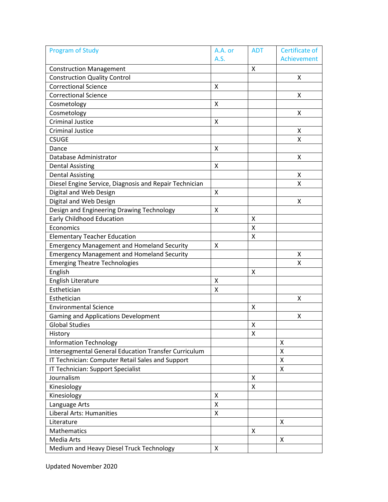| <b>Program of Study</b>                                | A.A. or | <b>ADT</b> | Certificate of |
|--------------------------------------------------------|---------|------------|----------------|
|                                                        | A.S.    |            | Achievement    |
| <b>Construction Management</b>                         |         | X          |                |
| <b>Construction Quality Control</b>                    |         |            | X              |
| <b>Correctional Science</b>                            | X       |            |                |
| <b>Correctional Science</b>                            |         |            | X              |
| Cosmetology                                            | Χ       |            |                |
| Cosmetology                                            |         |            | X              |
| <b>Criminal Justice</b>                                | X       |            |                |
| <b>Criminal Justice</b>                                |         |            | X              |
| <b>CSUGE</b>                                           |         |            | X              |
| Dance                                                  | X       |            |                |
| Database Administrator                                 |         |            | x              |
| <b>Dental Assisting</b>                                | X       |            |                |
| <b>Dental Assisting</b>                                |         |            | x              |
| Diesel Engine Service, Diagnosis and Repair Technician |         |            | X              |
| Digital and Web Design                                 | X       |            |                |
| Digital and Web Design                                 |         |            | X              |
| Design and Engineering Drawing Technology              | Χ       |            |                |
| <b>Early Childhood Education</b>                       |         | X          |                |
| Economics                                              |         | Χ          |                |
| <b>Elementary Teacher Education</b>                    |         | Χ          |                |
| <b>Emergency Management and Homeland Security</b>      | X       |            |                |
| <b>Emergency Management and Homeland Security</b>      |         |            | X              |
| <b>Emerging Theatre Technologies</b>                   |         |            | Χ              |
| English                                                |         | X          |                |
| English Literature                                     | X       |            |                |
| Esthetician                                            | Χ       |            |                |
| Esthetician                                            |         |            | Χ              |
| <b>Environmental Science</b>                           |         | X          |                |
| <b>Gaming and Applications Development</b>             |         |            | Χ              |
| <b>Global Studies</b>                                  |         | X          |                |
| History                                                |         | Χ          |                |
| <b>Information Technology</b>                          |         |            | X              |
| Intersegmental General Education Transfer Curriculum   |         |            | Χ              |
| IT Technician: Computer Retail Sales and Support       |         |            | X              |
| IT Technician: Support Specialist                      |         |            | X              |
| Journalism                                             |         | X          |                |
| Kinesiology                                            |         | X          |                |
| Kinesiology                                            | X       |            |                |
| Language Arts                                          | X       |            |                |
| Liberal Arts: Humanities                               | X       |            |                |
| Literature                                             |         |            | X              |
| Mathematics                                            |         | X          |                |
| Media Arts                                             |         |            | X              |
| Medium and Heavy Diesel Truck Technology               | X       |            |                |
|                                                        |         |            |                |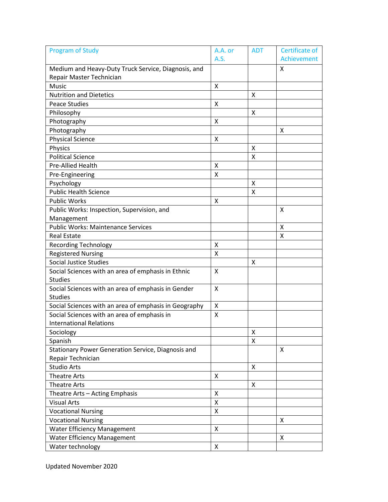| <b>Program of Study</b>                               | A.A. or | ADT | Certificate of |
|-------------------------------------------------------|---------|-----|----------------|
|                                                       | A.S.    |     | Achievement    |
| Medium and Heavy-Duty Truck Service, Diagnosis, and   |         |     | X              |
| Repair Master Technician                              |         |     |                |
| Music                                                 | X       |     |                |
| <b>Nutrition and Dietetics</b>                        |         | X   |                |
| <b>Peace Studies</b>                                  | Χ       |     |                |
| Philosophy                                            |         | X   |                |
| Photography                                           | Χ       |     |                |
| Photography                                           |         |     | X              |
| <b>Physical Science</b>                               | X       |     |                |
| Physics                                               |         | X   |                |
| <b>Political Science</b>                              |         | X   |                |
| Pre-Allied Health                                     | X       |     |                |
| Pre-Engineering                                       | X       |     |                |
| Psychology                                            |         | X   |                |
| <b>Public Health Science</b>                          |         | X   |                |
| <b>Public Works</b>                                   | X       |     |                |
| Public Works: Inspection, Supervision, and            |         |     | X              |
| Management                                            |         |     |                |
| <b>Public Works: Maintenance Services</b>             |         |     | X              |
| <b>Real Estate</b>                                    |         |     | X              |
| <b>Recording Technology</b>                           | X       |     |                |
| <b>Registered Nursing</b>                             | X       |     |                |
| <b>Social Justice Studies</b>                         |         | X   |                |
| Social Sciences with an area of emphasis in Ethnic    | X       |     |                |
| <b>Studies</b>                                        |         |     |                |
| Social Sciences with an area of emphasis in Gender    | X       |     |                |
| <b>Studies</b>                                        |         |     |                |
| Social Sciences with an area of emphasis in Geography | X       |     |                |
| Social Sciences with an area of emphasis in           | X       |     |                |
| <b>International Relations</b>                        |         |     |                |
| Sociology                                             |         | Χ   |                |
| Spanish                                               |         | X   |                |
| Stationary Power Generation Service, Diagnosis and    |         |     | X              |
| Repair Technician                                     |         |     |                |
| <b>Studio Arts</b>                                    |         | X   |                |
| <b>Theatre Arts</b>                                   | X       |     |                |
| <b>Theatre Arts</b>                                   |         | X   |                |
| Theatre Arts - Acting Emphasis                        | X       |     |                |
| <b>Visual Arts</b>                                    | X       |     |                |
| <b>Vocational Nursing</b>                             | X       |     |                |
| <b>Vocational Nursing</b>                             |         |     | X              |
| <b>Water Efficiency Management</b>                    | X       |     |                |
| <b>Water Efficiency Management</b>                    |         |     | X              |
| Water technology                                      | X       |     |                |